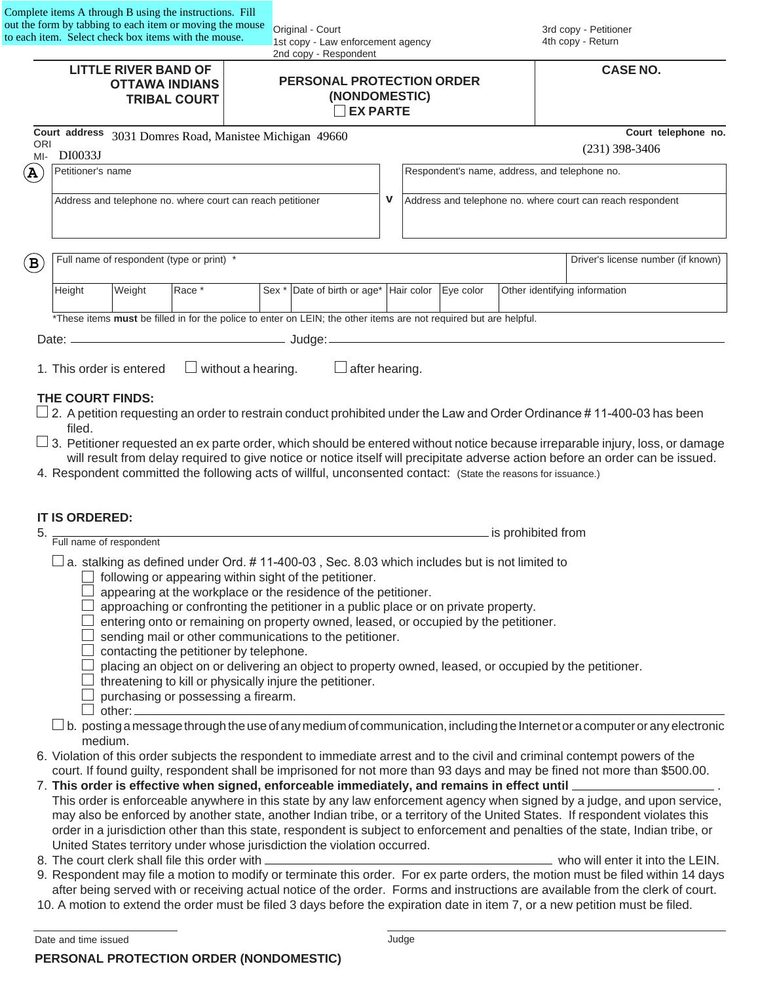| Complete items A through B using the instructions. Fill  |
|----------------------------------------------------------|
| out the form by tabbing to each item or moving the mouse |
| to each item. Select check box items with the mouse.     |
|                                                          |

Original - Court 1st copy - Law enforcement agency 2nd copy - Respondent

|                                                             |                                                                             |        |                           | 2nd copy - Respondent                                                                                                                  |                                                                                   |                                                            |  |                    |  |                                                                                                                                                                                                                                                                                                                                                                                                          |
|-------------------------------------------------------------|-----------------------------------------------------------------------------|--------|---------------------------|----------------------------------------------------------------------------------------------------------------------------------------|-----------------------------------------------------------------------------------|------------------------------------------------------------|--|--------------------|--|----------------------------------------------------------------------------------------------------------------------------------------------------------------------------------------------------------------------------------------------------------------------------------------------------------------------------------------------------------------------------------------------------------|
|                                                             | <b>LITTLE RIVER BAND OF</b><br><b>OTTAWA INDIANS</b><br><b>TRIBAL COURT</b> |        |                           |                                                                                                                                        | <b>PERSONAL PROTECTION ORDER</b><br>(NONDOMESTIC)<br><b>EX PARTE</b>              |                                                            |  |                    |  | <b>CASE NO.</b>                                                                                                                                                                                                                                                                                                                                                                                          |
| Court address 3031 Domres Road, Manistee Michigan 49660     |                                                                             |        |                           |                                                                                                                                        |                                                                                   |                                                            |  |                    |  | Court telephone no.                                                                                                                                                                                                                                                                                                                                                                                      |
| <b>ORI</b><br>DI0033J<br>$M-I$                              |                                                                             |        |                           |                                                                                                                                        |                                                                                   | $(231)$ 398-3406                                           |  |                    |  |                                                                                                                                                                                                                                                                                                                                                                                                          |
| Petitioner's name<br>$\mathbf{A}$                           |                                                                             |        |                           |                                                                                                                                        |                                                                                   | Respondent's name, address, and telephone no.              |  |                    |  |                                                                                                                                                                                                                                                                                                                                                                                                          |
| Address and telephone no. where court can reach petitioner  |                                                                             |        |                           |                                                                                                                                        | $\mathbf v$                                                                       | Address and telephone no. where court can reach respondent |  |                    |  |                                                                                                                                                                                                                                                                                                                                                                                                          |
| Full name of respondent (type or print) *<br>$(\mathtt{B})$ |                                                                             |        |                           |                                                                                                                                        |                                                                                   |                                                            |  |                    |  | Driver's license number (if known)                                                                                                                                                                                                                                                                                                                                                                       |
| Height                                                      | Weight                                                                      | Race * |                           |                                                                                                                                        | Sex * Date of birth or age* Hair color Eye color<br>Other identifying information |                                                            |  |                    |  |                                                                                                                                                                                                                                                                                                                                                                                                          |
|                                                             |                                                                             |        |                           | *These items must be filled in for the police to enter on LEIN; the other items are not required but are helpful.                      |                                                                                   |                                                            |  |                    |  |                                                                                                                                                                                                                                                                                                                                                                                                          |
|                                                             |                                                                             |        |                           |                                                                                                                                        |                                                                                   |                                                            |  |                    |  |                                                                                                                                                                                                                                                                                                                                                                                                          |
| 1. This order is entered<br>THE COURT FINDS:<br>filed.      |                                                                             |        | $\Box$ without a hearing. | $\Box$ after hearing.<br>4. Respondent committed the following acts of willful, unconsented contact: (State the reasons for issuance.) |                                                                                   |                                                            |  |                    |  | $\Box$ 2. A petition requesting an order to restrain conduct prohibited under the Law and Order Ordinance # 11-400-03 has been<br>$\Box$ 3. Petitioner requested an ex parte order, which should be entered without notice because irreparable injury, loss, or damage<br>will result from delay required to give notice or notice itself will precipitate adverse action before an order can be issued. |
| <b>IT IS ORDERED:</b><br>5.<br>Full name of respondent      |                                                                             |        |                           | a. stalking as defined under Ord. #11-400-03, Sec. 8.03 which includes but is not limited to                                           |                                                                                   |                                                            |  | is prohibited from |  |                                                                                                                                                                                                                                                                                                                                                                                                          |

 $\Box$  following or appearing within sight of the petitioner.

- $\Box$  appearing at the workplace or the residence of the petitioner.
- $\Box$  approaching or confronting the petitioner in a public place or on private property.
- $\Box$  entering onto or remaining on property owned, leased, or occupied by the petitioner.
- $\Box$  sending mail or other communications to the petitioner.
- $\Box$  contacting the petitioner by telephone.
- $\Box$  placing an object on or delivering an object to property owned, leased, or occupied by the petitioner.
- $\Box$  threatening to kill or physically injure the petitioner.
- $\Box$  purchasing or possessing a firearm.
- $\Box$  other:
- $\square$  b. posting a message through the use of any medium of communication, including the Internet or a computer or any electronic medium.
- 6. Violation of this order subjects the respondent to immediate arrest and to the civil and criminal contempt powers of the court. If found guilty, respondent shall be imprisoned for not more than 93 days and may be fined not more than \$500.00.
- 7. **This order is effective when signed, enforceable immediately, and remains in effect until** . This order is enforceable anywhere in this state by any law enforcement agency when signed by a judge, and upon service, may also be enforced by another state, another Indian tribe, or a territory of the United States. If respondent violates this order in a jurisdiction other than this state, respondent is subject to enforcement and penalties of the state, Indian tribe, or United States territory under whose jurisdiction the violation occurred.
- 8. The court clerk shall file this order with **which and the contract of the CEIN** who will enter it into the LEIN.

**PERSONAL PROTECTION ORDER (NONDOMESTIC)**

- 9. Respondent may file a motion to modify or terminate this order. For ex parte orders, the motion must be filed within 14 days
- after being served with or receiving actual notice of the order. Forms and instructions are available from the clerk of court. 10. A motion to extend the order must be filed 3 days before the expiration date in item 7, or a new petition must be filed.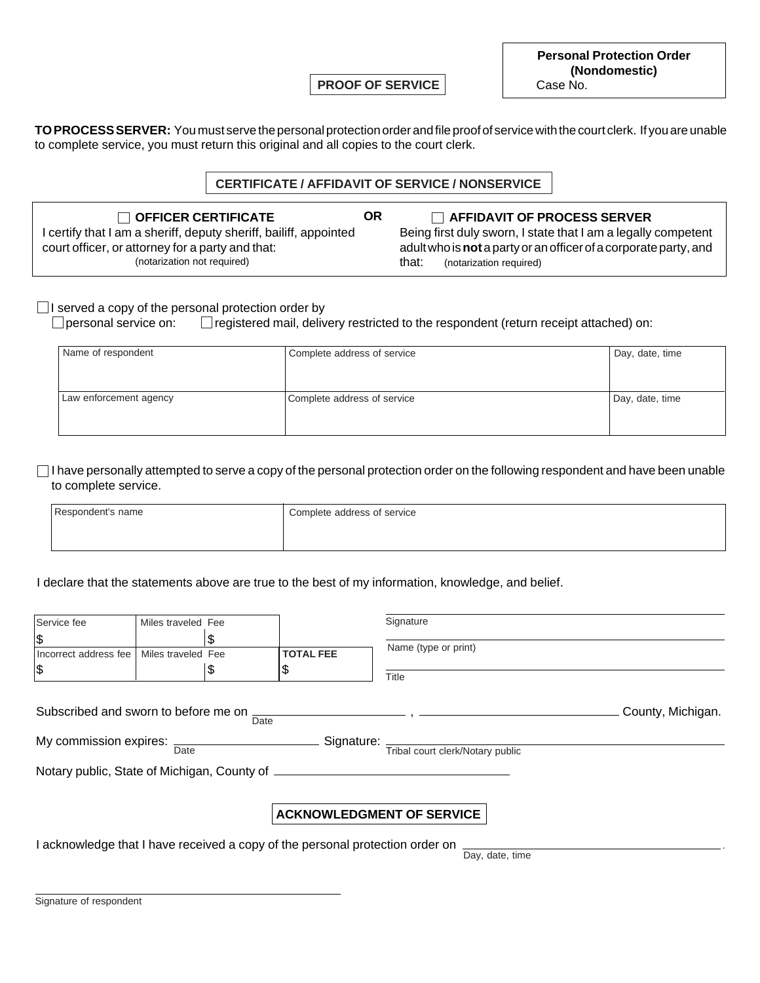**PROOF OF SERVICE**

**TO PROCESS SERVER:** You must serve the personal protection order and file proof of service with the court clerk. If you are unable to complete service, you must return this original and all copies to the court clerk.

### **CERTIFICATE / AFFIDAVIT OF SERVICE / NONSERVICE**

**OR**

**OFFICER CERTIFICATE AFFIDAVIT OF PROCESS SERVER** I certify that I am a sheriff, deputy sheriff, bailiff, appointed court officer, or attorney for a party and that: (notarization not required)

Being first duly sworn, I state that I am a legally competent adult who is **not** a party or an officer of a corporate party, and

that: (notarization required)

### $\Box$  I served a copy of the personal protection order by

 $\Box$  personal service on:  $\Box$  registered mail, delivery restricted to the respondent (return receipt attached) on:

| Name of respondent     | Complete address of service | Day, date, time |
|------------------------|-----------------------------|-----------------|
| Law enforcement agency | Complete address of service | Day, date, time |

 $\Box$  I have personally attempted to serve a copy of the personal protection order on the following respondent and have been unable to complete service.

| Respondent's name | Complete address of service |
|-------------------|-----------------------------|
|                   |                             |

#### I declare that the statements above are true to the best of my information, knowledge, and belief.

| Service fee                                                                   | Miles traveled Fee |      |                  | Signature                        |                   |  |  |  |
|-------------------------------------------------------------------------------|--------------------|------|------------------|----------------------------------|-------------------|--|--|--|
| \$                                                                            |                    | S    |                  |                                  |                   |  |  |  |
| Incorrect address fee                                                         | Miles traveled Fee |      | <b>TOTAL FEE</b> | Name (type or print)             |                   |  |  |  |
| \$                                                                            |                    | \$   | Φ                | Title                            |                   |  |  |  |
| Subscribed and sworn to before me on                                          |                    | Date | Signature:       |                                  | County, Michigan. |  |  |  |
| My commission expires: $\frac{1}{\text{Date}}$                                |                    |      |                  | Tribal court clerk/Notary public |                   |  |  |  |
| Notary public, State of Michigan, County of                                   |                    |      |                  |                                  |                   |  |  |  |
|                                                                               |                    |      |                  | <b>ACKNOWLEDGMENT OF SERVICE</b> |                   |  |  |  |
| I acknowledge that I have received a copy of the personal protection order on |                    |      |                  |                                  |                   |  |  |  |

Day, date, time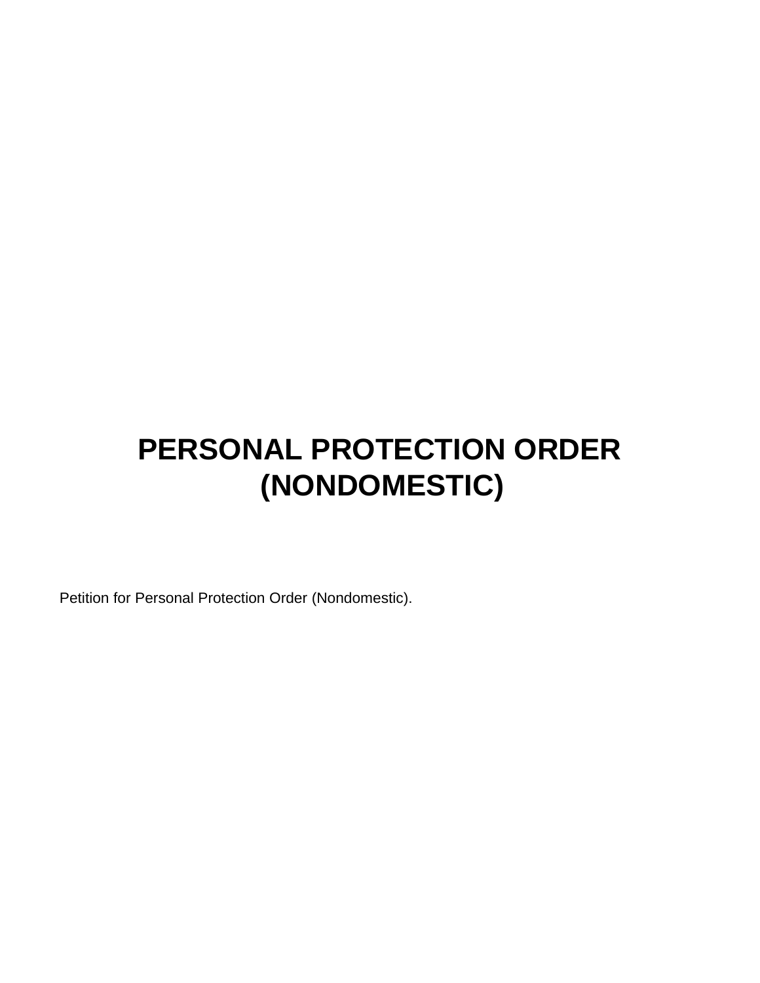# **PERSONAL PROTECTION ORDER (NONDOMESTIC)**

Petition for Personal Protection Order (Nondomestic).